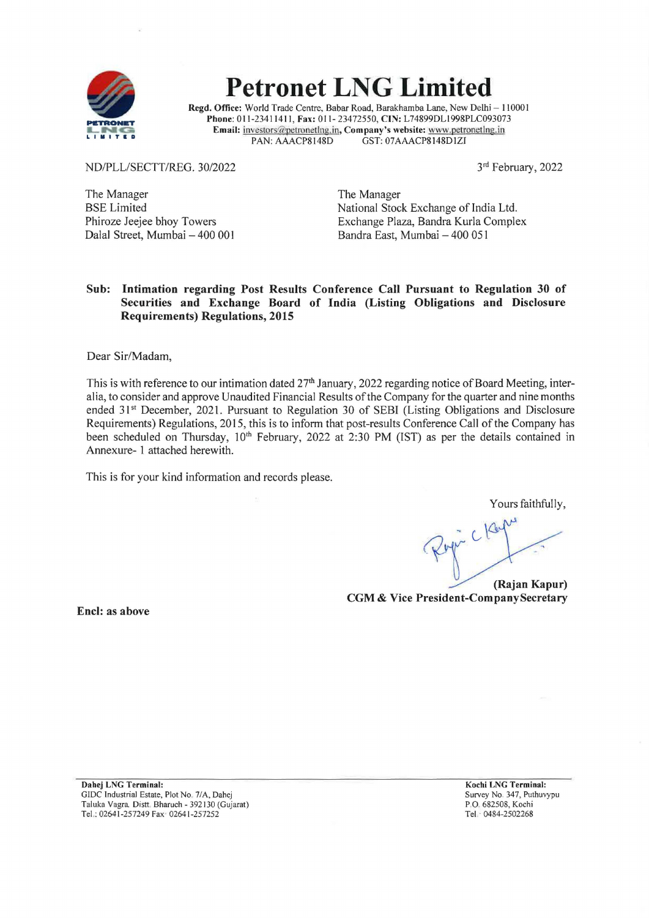

# **Petronet LNG Limited**

**Regd. Office:** World Trade Centre, Babar Road, Barakhamba Lane, New Delhi - 110001 **Phone:** 011-2341141 l, **Fax:** 011- 23472550, **CIN:** L74899DLI998PLC093073 **Email: investors@petronetlng.in, Company's website: www.petronetlng.in**<br>PAN: AAACP8148D GST: 07AAACP8148D1ZI GST: 07AAACP8148D1ZI

ND/PLL/SECTT/REG. 30/2022

3rd February, 2022

The Manager BSE Limited Phiroze Jeejee bhoy Towers Dalal Street, Mumbai - 400 001 The Manager National Stock Exchange of India Ltd. Exchange Plaza, Bandra Kurla Complex Bandra East, Mumbai - 400 051

### **Sub: Intimation regarding Post Results Conference Call Pursuant to Regulation 30 of Securities and Exchange Board of India (Listing Obligations and Disclosure Requirements) Regulations, 2015**

Dear Sir/Madam,

This is with reference to our intimation dated 27<sup>th</sup> January, 2022 regarding notice of Board Meeting, interalia, to consider and approve Unaudited Financial Results of the Company for the quarter and nine months ended 31<sup>st</sup> December, 2021. Pursuant to Regulation 30 of SEBI (Listing Obligations and Disclosure Requirements) Regulations, 2015, this is to inform that post-results Conference Call of the Company has been scheduled on Thursday, 10<sup>th</sup> February, 2022 at 2:30 PM (IST) as per the details contained in Annexure- 1 attached herewith.

This is for your kind information and records please.

Yours faithfully,

**(Rajan Kapur) CGM** & **Vice President-Company Secretary** 

**Encl: as above** 

**Dahej LNG Terminal:**  GIDC Industrial Estate, Plot No 7/A, Dahej Taluka Vagra, Distt. Bharuch - 392130 (Gujarat) Tel.: 02641-257249 Fax 02641-257252

**Kochi LNG Terminal:**  Survey No\_ 347, Puthuvypu P.O. 682508, Kochi Tel.· 0484-2502268